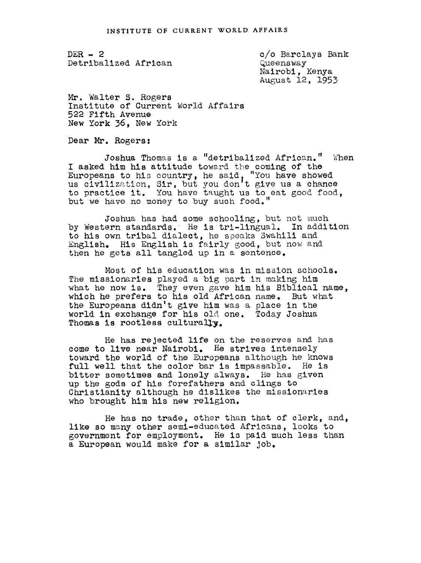$DER - 2$ Detribalized African

c/o Barclays Bank Queensway Nalrobi, Kenya August 12, 1953

Mr. Walter S. Rogers Institute of Current World Affairs 52 Fifth Avenue New York 36. New York

Dear Mr. Rogers:

Joshua Thomas is a "detribalized African." When I asked him his attitude toward the coming of the Europeans to his country, he said, "You have showed<br>us civilization, Sir, but you don't give us a chance<br>to practice it. You have taught us to eat good food, but we have no money to buy such food.

Joshua has had some schooling, but not much by Western standards. He is tri-lingual. In addition to his own tribal dialect, he speaks Swahili and English. His English is fairly good, but now and then he gets all tangled up in a sentence.

Most of his education was in mission schools. The missionaries played a big part in making him what he now is. They even gave him his Biblical name, which he prefers to his old African name. But what the Europeans didn't give him was a place in the world in exchange for his old one. Today Joshua Thomas is rootless culturally.

He has rejected life on the reserves and has come to live near Nairobi. He strives intensely toward the world of the Europeans although he knows full well that the color bar is impassable. He is bitter sometimes and lonely always. He has given up the gods of his forefathers and clings to Christianity although he dislikes the missionaries who brought him his new relision.

He has no trade, other than that of clerk, and, like so many other semi-educated Africans, looks to government for employment. He is paid much less than a European would make for a similar Job.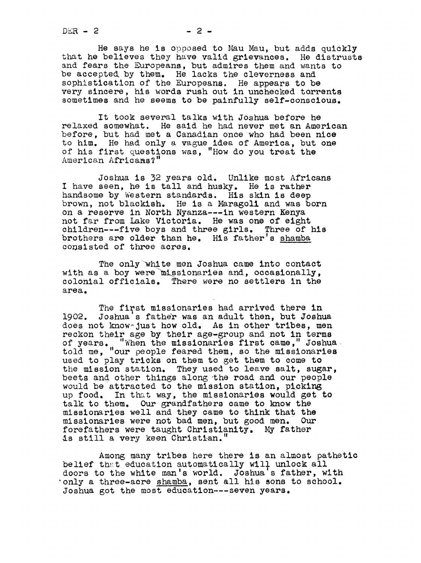$DER - 2$  2  $- 2$ 

He says he is opoosed to Mau Mau, but adds quickly that he believes they have valid grievances. He distrusts and fears the Europeans, but admires them and wants to be accepted by them. He lacks the cleverness and sophistication of the Europeans. He appears to be very sincere, his words rush out in unchecked torrents sometimes and he seems to be painfully self-conscious.

It took several talks with Joshua before he relaxed somewhat. He said he had never met an American before, but had met a Canadian once who had been nice to him. He had only a vague idea of America, but one of his first questions was, "How do you treat the American Africans?"

Joshua is 32 years old. Unlike most Africans I have seen, he is tall and husky. He is rather handsome by Western standards. His skin is deep brown, not blackish. He is a Maragoli and was born on a reserve in North Nyanza---in western Kenya not far from Lake Victoria. He was one of eIsht children---five boys and three girls. Three of his brothers are older than he. His father's shamba consisted of three acres.

The only white men Joshua came into contact with as a boy were missionaries and, occasionally,<br>colonial officials. There were no settlers in the area.

The first missionaries had arrived there in 190e. Joshua <sup>s</sup> father was an adult then, but Joshua does not know-just how old. As in other tribes, men reckon their age by their age-group and not in terms of years. "When the missionaries first came, " Joshua told me, "our people feared them, so the missionaries used to play tricks on them to get them to come to the mission station. They used to leave salt, sugar, beets and other things along the road and our people would be attracted to the mission station, picking<br>up food. In that way, the missionaries would get In that way, the missionaries would get to talk to them. Our grandfathers came to know the missionaries well and they came to think that the missionaries were not bad men, but good men. Our forefathers were taught Christianity. My father is still a very keen Christian. ''

Among many tribes here there is an almost pathetic belief that education automatically will unlock all doors to the white man's world. Joshua's father, with 'only a three-acre shamba, sent all his sons to school. Joshua got the most education --- seven years.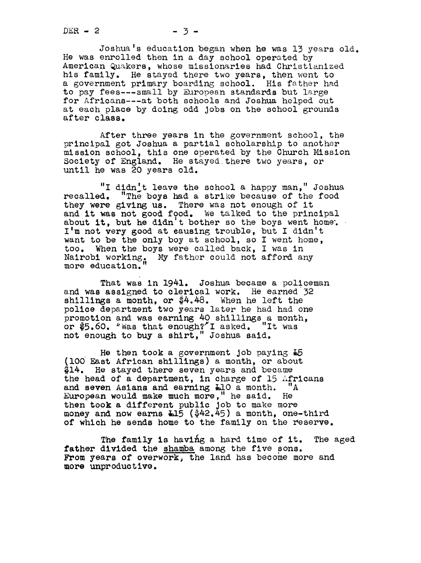Joshua's education began when he was 13 years old. He was enrolled then in a day school operated by American Qukers, whose missionaries had Christianized his family. He stayed there two years, then went to a government primary boarding school. His father had to pay fees---small by European standards but large for Africans---at both schools and Joshua helped out at each place by doing odd jobs on the school grounds after class.

After three years in the government school, the principal got Joshua a partial scholarship to another mission school, this one operated by the Church Mission Society of England. He stayed.there two years, or until he was 20 years old.

"I didn't leave the school a happy man," Joshua<br>recalled. "The boys had a strike because of the food "The boys had a strike because of the food they were giving us. There was not enough of it and it was not good food. We talked to the principal about it, but he didn't bother so the boys went home. I'm not very good at eausing trouble, but I didn't want to be the only boy at school, so I went home, too. When the boys were called back, I was in Nairobi working. My father could not afford any more education.

That was in 1941. Joshua became a policeman and was assigned to clerical work. He earned 32 shillings a month, or  $$4.48$ . When he left the police department two years later he had had one promotion and was earning 40 shillings a month, or  $$5.60$ . "Was that enough?" I asked. "It was or \$5.60. Was that enough? I asked. "It was not enough to buy a shirt, " Joshua said

He then took a government job paying  $E5$ lO0 East African shillings) a month, or about \$14. He stayed there seven years and became the head of a department, in charge of 15 Africans and seven Asians and earning L10 a month. "A European would make much more," he said. He then took a different public Job to make more money and now earns 115 (\$42.45) a month, one-third of which he sends home to the family on the reserve.

The family is having a hard time of it. The aged father divided the shamba among the five sons. From years of overwork, the land has become more and more unproductive.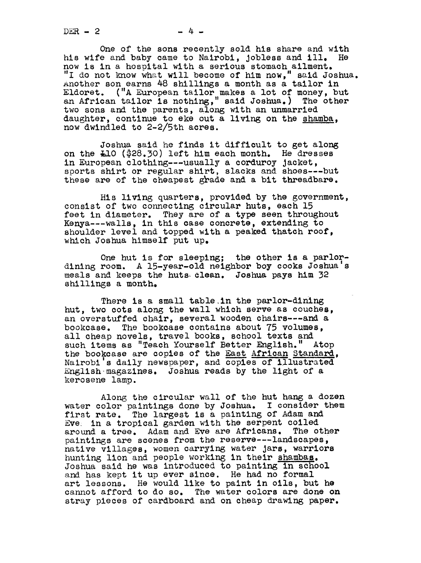$DER - 2$  -4 -

One of the sons recently sold his share and with his wife and baby came to Nairobi, jobless and ill. He now is in a hosoital with a serious stomach ailment. "I do not know what will become of him now," said Joshua. Another son earns 48 shillings a month as a tailor in Eldoret. ("A European tailor makes a lot of money, but an African tailor is nothing," said Joshua. ) The other two sons and the parents, along with an unmarried daughter, continue to eke out a living on the shamba, now dwindled to 2-2/5th acres.

Joshua said he finds it difficult to get along on the L10 (\$28.30) left him each month. He dresses in European clothing---usually a corduroy Jacket, sports shirt or regular shirt, slacks and shoes---but these are of the cheapest grade and a bit threadbare.

His living quarters, provided by the government, consist of two connecting circular huts, each 15 feet in diameter. They are of a type seen throughout Kenya---walls, in this case concrete, extending to shoulder level and topped with a peaked thatch roof, which Joshua himself put up.

One hut is for sleeping; the other is a parlordining room. A 15-year-old neighbor boy cooks Joshua's meals and keeps the huts Clean. Joshua pays him 32 shillings a month.

There is a small table in the parlor-dining hut, two cots along the wall which serve as couches, an overstuffed chair, several wooden chairs---and a bookcase. The bookcase contains about 75 volumes, all cheap novels, travel books, school texts and such items as "Teach Yourself Better English." Atop the bookcase are copies of the East African Standard, Nairobi's daily newspaper, and copies of illustrated English magazines. Joshua reads by the light of a kerosene lamp.

Along the circular wall of the hut hang a dozen water color paintings done by Joshua. I consider them first rate. The largest is a painting of Adam and Eve in a tropical garden with the serpent coiled around a tree. Adam and Eve are Africans. The other paintings are scenes from the reserve---landscapes, native villages, women carrying water jars, warriors hunting lion and people working in their shambas. Joshua said he was introduced to painting in school and has kept it up ever since. He had no formal art lessons. He would like to paint in oils, but he cannot afford to do so. The water colors are done on stray pieces of cardboard and on cheap drawing paper.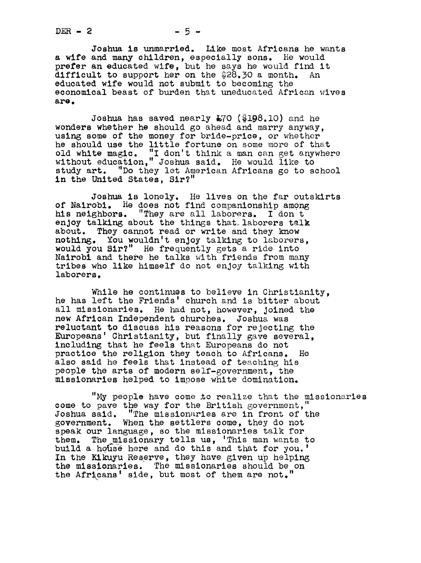Joshua is unmarried. Like most Africans he wants a wife and many children, especially sons. He would prefer an educated wife, but he says he would find it difficult to support her on the  $28.30$  a month. An educated wife would not submit to becoming the economical beast of burden that uneducated African wives are.

Joshua has saved nearly  $E70$  (\$198.10) and he wonders whether he should go ahead and marry anyway. using some of the money for bride-price, or whether he should use the little fortune on some more of that old white magic. "I don't think a man can get anywhere old white magic. "I don't think a man can get anywhere without education," Joshua said. He would like to study art. "Do they let American Africans go to school in the United States, Sir?"

Joshua is lonely. He lives on the far outskirts of Nairobi. He does not find companionship among his neighbors. "They are all laborers. I don t enjoy talking about the things that laborers talk about. They cannot read or write and they know nothing. You wouldn't enjoy talking to laborers, would you Sir?" He frequently gets a ride into Nairobi and there he talks with friends from many tribes who like himself do not enjoy talking with laborers.

While he continues to believe in Christianity, he has left the Friends' church and is bitter about all missionaries. He had not, however, Joined the new African Independent churches. Joshua was reluctant to discuss his reasons for rejecting the Europeans' Christianity, but finally gave several, including that he feels that Europeans do not practice the relision they teach to Africans. He also said he feels that instead of teaching his people the arts of modern self-government, the missionaries helped to impose white domination.

"My people have come to realize that the missionaries come to pave the way for the British government." Joshua said. "The missionaries are in front of the government. When the settlers come, they do not speak our language, so the missionaries talk for them. The missionary tells us, 'This man wants to build a house here and do this and that for you.' In the Kikuyu Reserve, they have given up helping the missionaries. The missionaries should be on the Africans' side, but most of them are not."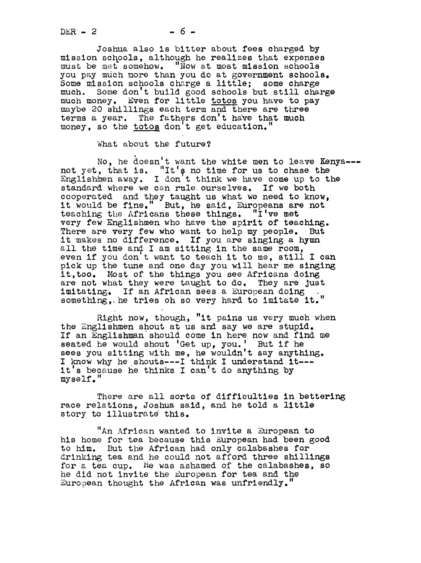$DER - 2$ 

Joshua also is bitter about fees charged by mission schools, although he realizes that expenses must be met somehow. "Now at most mission schools you pay much more than you do at government schools. Some mission schools charge a little; some charge much. Some don't build good schools but still charge much money. Even for little totos you have to pay maybe 20 shillings each term and there are three terms a year. The fathers don't have that much money, so the totos don't get education.

What about the future?

No, he doesn't want the white men to leave Kenya--not yet, that is. "It's no time for us to chase the Englishmen away. I don't think we have come up to the standard where we can rule ourselves. If we both cooperated and they taught us what we need to know, it would be fine." But, he said, Europeans are not teaching the Africans these things. "I've met very few Englishmen who have the spirit of teaching. There are very few who want to help my people. But it makes no difference. If you are singing a hymn all the time and I am sitting in the same room, even if you don't want to teach it to me, still I can pick up the tune and one day you will hear me singing it, too. Most of the things you see Africans doing are not what they were taught to do. They are Just imitating. If an African sees a European doing something, he tries oh so very hard to imitate it."

Right now, thoush, "it pains us very much when the Englishmen shout at us and say we are stupid. If an Englishman should come in here now and find me seated he would shout 'Get up, you.' But if he sees you sitting with me, he wouldn't say anything. I know why he shouts---I think I understand it-- it's because he thinks I can't do anything by myse If."

There are all sorts of difficulties in bettering race relations, Joshua said, and he told a little story to illustrate this.

"An African wanted to invite a European to his home for tea because this European had been good to him. But the African had only calabashes for drinking tea and he could not afford three shillings for a tea cup. He was ashamed of the calabashes, so he did not invite the European for tea and the European thought the African was unfriendly."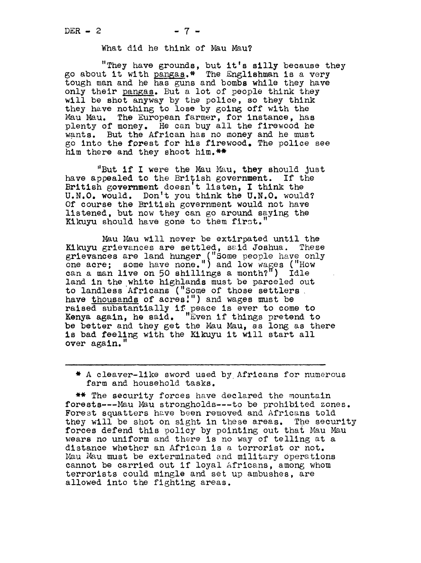## DER - 2  $-7$  - What did he think of Mau Mau?

"They have grounds, but it's silly because they go about it with pangas.\* The Englishman is a very tough man and he has guns and bombs while they have only their pangas. But a lot of people think they will be shot anyway by the police, so they think they have nothing to lose by going off with the Mau Mau. The European farmer, for instance, has plenty of money. He can buy all the firewood he wants. But the African has no money and he must go into the forest for his firewood. The police see him there and they shoot him.\*\*

"But if I were the Mau Mau, they should just<br>ppealed to the British government. If the have appealed to the British government. British government doesn't listen, I think the U.N.0. would. Don't you think the U.N.0. would? Of course the British government would not have listened, but now they can go around saying the Kikuyu should have gone to them first.

Mau Mau will never be extirpated until the Kikuyu grievances are settled, said Joshua. These grievances are land hunger ("Some people have only one acre; some have none.") and low wages ("How one acre; some have none.") and low wages ("How<br>can a man live on 50 shillings a month?") Idle land in the white highlands must be parceled out to landless Africans ("Some of those settlers have thousands of acres.") and wages must be raised substantially if peace is ever to come to Kenya again, he said. "Even if things pretend to be better and they get the Mau Mau, as long as there is bad feeling with the Kikuyu it will start all over again.'

\* A cleaver-llke sword used by. Africans for numerous farm and household tasks.

\*\* The security forces have declared the mountain forests --- Mau Mau strongholds --- to be prohibited zones. Forest squatters have been removed and Africans told they will be shot on sight in these areas. The security forces defend this policy by pointing out that Mau Mau wears no uniform and there is no way of telling at a wears no unflorm and there is no way of teiling at a<br>distance whether an African is a terrorist or not.<br>Mau Mau must be exterminated and military operations cannot be carried out if loyal Africans, among whom terrorists could mingle and set up ambushes, are allowed into the fighting areas.